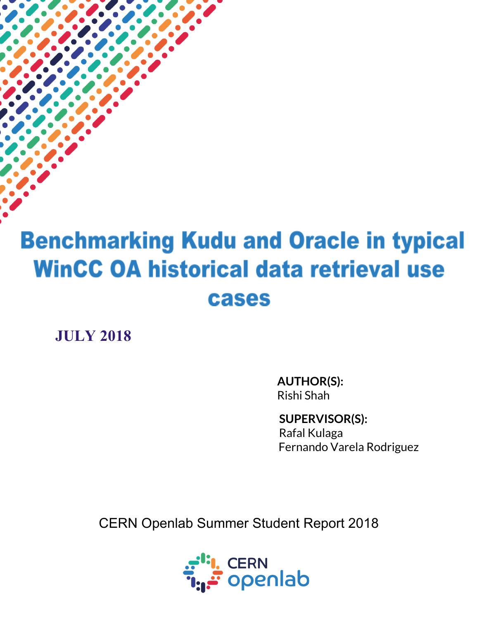# **Benchmarking Kudu and Oracle in typical WinCC OA historical data retrieval use** cases

**JULY 2018**

**AUTHOR(S):** Rishi Shah

**SUPERVISOR(S):** Rafal Kulaga Fernando Varela Rodriguez

CERN Openlab Summer Student Report 2018

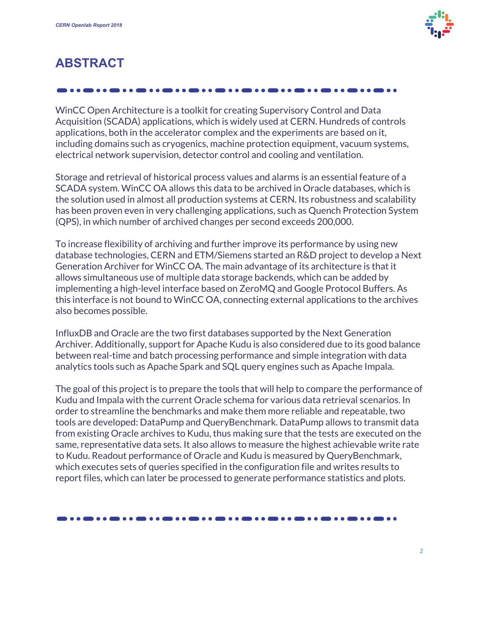

## **ABSTRACT**

WinCC Open Architecture is a toolkit for creating Supervisory Control and Data Acquisition (SCADA) applications, which is widely used at CERN. Hundreds of controls applications, both in the accelerator complex and the experiments are based on it, including domains such as cryogenics, machine protection equipment, vacuum systems, electrical network supervision, detector control and cooling and ventilation.

Storage and retrieval of historical process values and alarms is an essential feature of a SCADA system. WinCC OA allows this data to be archived in Oracle databases, which is the solution used in almost all production systems at CERN. Its robustness and scalability has been proven even in very challenging applications, such as Quench Protection System (QPS), in which number of archived changes per second exceeds 200,000.

To increase flexibility of archiving and further improve its performance by using new database technologies, CERN and ETM/Siemens started an R&D project to develop a Next Generation Archiver for WinCC OA. The main advantage of its architecture is that it allows simultaneous use of multiple data storage backends, which can be added by implementing a high-level interface based on ZeroMQ and Google Protocol Buffers. As this interface is not bound to WinCC OA, connecting external applications to the archives also becomes possible.

InfluxDB and Oracle are the two first databases supported by the Next Generation Archiver. Additionally, support for Apache Kudu is also considered due to its good balance between real-time and batch processing performance and simple integration with data analytics tools such as Apache Spark and SQL query engines such as Apache Impala.

The goal of this project is to prepare the tools that will help to compare the performance of Kudu and Impala with the current Oracle schema for various data retrieval scenarios. In order to streamline the benchmarks and make them more reliable and repeatable, two tools are developed: DataPump and QueryBenchmark. DataPump allows to transmit data from existing Oracle archives to Kudu, thus making sure that the tests are executed on the same, representative data sets. It also allows to measure the highest achievable write rate to Kudu. Readout performance of Oracle and Kudu is measured by QueryBenchmark, which executes sets of queries specified in the configuration file and writes results to report files, which can later be processed to generate performance statistics and plots.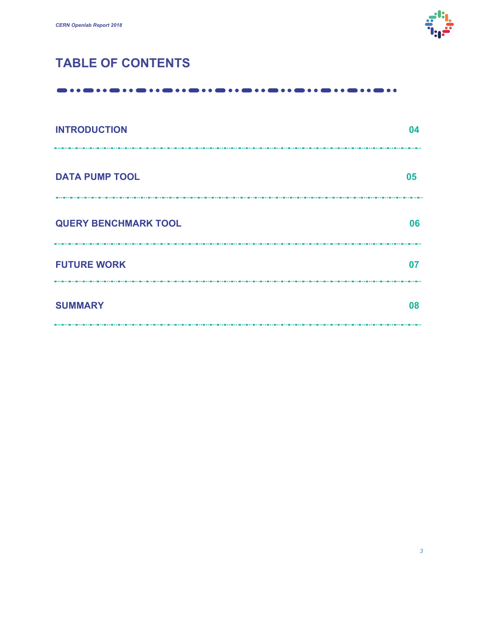

# **TABLE OF CONTENTS**

#### 

| <b>INTRODUCTION</b>         | 04 |
|-----------------------------|----|
| <b>DATA PUMP TOOL</b>       | 05 |
| <b>QUERY BENCHMARK TOOL</b> | 06 |
| <b>FUTURE WORK</b>          | 07 |
| <b>SUMMARY</b>              | 08 |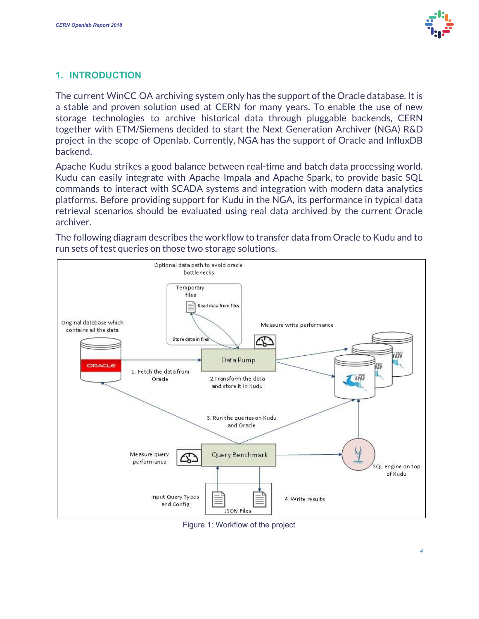

#### **1. INTRODUCTION**

The current WinCC OA archiving system only has the support of the Oracle database. It is a stable and proven solution used at CERN for many years. To enable the use of new storage technologies to archive historical data through pluggable backends, CERN together with ETM/Siemens decided to start the Next Generation Archiver (NGA) R&D project in the scope of Openlab. Currently, NGA has the support of Oracle and InfluxDB backend.

Apache Kudu strikes a good balance between real-time and batch data processing world. Kudu can easily integrate with Apache Impala and Apache Spark, to provide basic SQL commands to interact with SCADA systems and integration with modern data analytics platforms. Before providing support for Kudu in the NGA, its performance in typical data retrieval scenarios should be evaluated using real data archived by the current Oracle archiver.

The following diagram describes the workflow to transfer data from Oracle to Kudu and to run sets of test queries on those two storage solutions.



Figure 1: Workflow of the project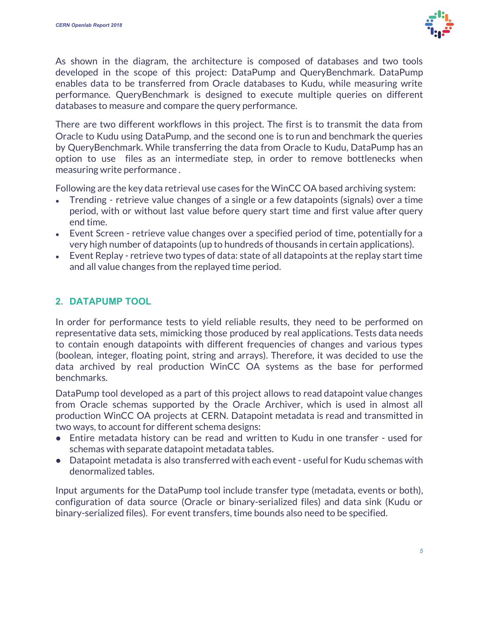

As shown in the diagram, the architecture is composed of databases and two tools developed in the scope of this project: DataPump and QueryBenchmark. DataPump enables data to be transferred from Oracle databases to Kudu, while measuring write performance. QueryBenchmark is designed to execute multiple queries on different databases to measure and compare the query performance.

There are two different workflows in this project. The first is to transmit the data from Oracle to Kudu using DataPump, and the second one is to run and benchmark the queries by QueryBenchmark. While transferring the data from Oracle to Kudu, DataPump has an option to use files as an intermediate step, in order to remove bottlenecks when measuring write performance .

Following are the key data retrieval use cases for the WinCC OA based archiving system:

- Trending retrieve value changes of a single or a few datapoints (signals) over a time period, with or without last value before query start time and first value after query end time.
- Event Screen retrieve value changes over a specified period of time, potentially for a very high number of datapoints (up to hundreds of thousands in certain applications).
- $\bullet$  Event Replay retrieve two types of data: state of all datapoints at the replay start time and all value changes from the replayed time period.

### **2. DATAPUMP TOOL**

In order for performance tests to yield reliable results, they need to be performed on representative data sets, mimicking those produced by real applications. Tests data needs to contain enough datapoints with different frequencies of changes and various types (boolean, integer, floating point, string and arrays). Therefore, it was decided to use the data archived by real production WinCC OA systems as the base for performed benchmarks.

DataPump tool developed as a part of this project allows to read datapoint value changes from Oracle schemas supported by the Oracle Archiver, which is used in almost all production WinCC OA projects at CERN. Datapoint metadata is read and transmitted in two ways, to account for different schema designs:

- Entire metadata history can be read and written to Kudu in one transfer used for schemas with separate datapoint metadata tables.
- Datapoint metadata is also transferred with each event useful for Kudu schemas with denormalized tables.

Input arguments for the DataPump tool include transfer type (metadata, events or both), configuration of data source (Oracle or binary-serialized files) and data sink (Kudu or binary-serialized files). For event transfers, time bounds also need to be specified.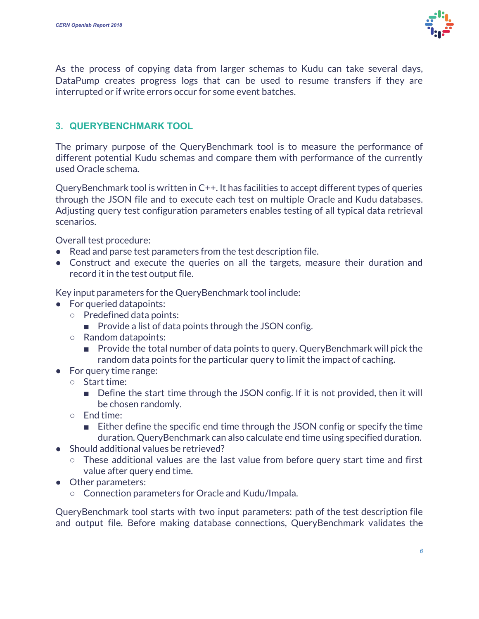

As the process of copying data from larger schemas to Kudu can take several days, DataPump creates progress logs that can be used to resume transfers if they are interrupted or if write errors occur for some event batches.

### **3. QUERYBENCHMARK TOOL**

The primary purpose of the QueryBenchmark tool is to measure the performance of different potential Kudu schemas and compare them with performance of the currently used Oracle schema.

QueryBenchmark tool is written in C++. It has facilities to accept different types of queries through the JSON file and to execute each test on multiple Oracle and Kudu databases. Adjusting query test configuration parameters enables testing of all typical data retrieval scenarios.

Overall test procedure:

- Read and parse test parameters from the test description file.
- Construct and execute the queries on all the targets, measure their duration and record it in the test output file.

Key input parameters for the QueryBenchmark tool include:

- For queried datapoints:
	- Predefined data points:
		- Provide a list of data points through the JSON config.
	- Random datapoints:
		- Provide the total number of data points to query. QueryBenchmark will pick the random data points for the particular query to limit the impact of caching.
- For query time range:
	- Start time:
		- Define the start time through the JSON config. If it is not provided, then it will be chosen randomly.
	- End time:
		- Either define the specific end time through the JSON config or specify the time duration. QueryBenchmark can also calculate end time using specified duration.
- Should additional values be retrieved?
	- These additional values are the last value from before query start time and first value after query end time.
- Other parameters:
	- Connection parameters for Oracle and Kudu/Impala.

QueryBenchmark tool starts with two input parameters: path of the test description file and output file. Before making database connections, QueryBenchmark validates the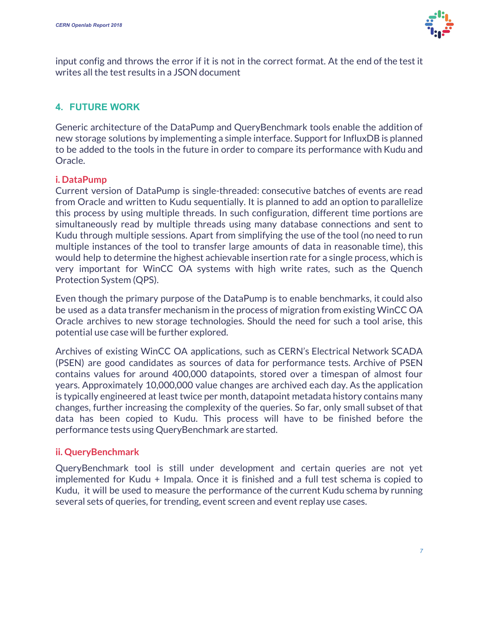

input config and throws the error if it is not in the correct format. At the end of the test it writes all the test results in a JSON document

### **4. FUTURE WORK**

Generic architecture of the DataPump and QueryBenchmark tools enable the addition of new storage solutions by implementing a simple interface. Support for InfluxDB is planned to be added to the tools in the future in order to compare its performance with Kudu and Oracle.

#### **i. DataPump**

Current version of DataPump is single-threaded: consecutive batches of events are read from Oracle and written to Kudu sequentially. It is planned to add an option to parallelize this process by using multiple threads. In such configuration, different time portions are simultaneously read by multiple threads using many database connections and sent to Kudu through multiple sessions. Apart from simplifying the use of the tool (no need to run multiple instances of the tool to transfer large amounts of data in reasonable time), this would help to determine the highest achievable insertion rate for a single process, which is very important for WinCC OA systems with high write rates, such as the Quench Protection System (QPS).

Even though the primary purpose of the DataPump is to enable benchmarks, it could also be used as a data transfer mechanism in the process of migration from existing WinCC OA Oracle archives to new storage technologies. Should the need for such a tool arise, this potential use case will be further explored.

Archives of existing WinCC OA applications, such as CERN's Electrical Network SCADA (PSEN) are good candidates as sources of data for performance tests. Archive of PSEN contains values for around 400,000 datapoints, stored over a timespan of almost four years. Approximately 10,000,000 value changes are archived each day. As the application is typically engineered at least twice per month, datapoint metadata history contains many changes, further increasing the complexity of the queries. So far, only small subset of that data has been copied to Kudu. This process will have to be finished before the performance tests using QueryBenchmark are started.

#### **ii. QueryBenchmark**

QueryBenchmark tool is still under development and certain queries are not yet implemented for Kudu + Impala. Once it is finished and a full test schema is copied to Kudu, it will be used to measure the performance of the current Kudu schema by running several sets of queries, for trending, event screen and event replay use cases.